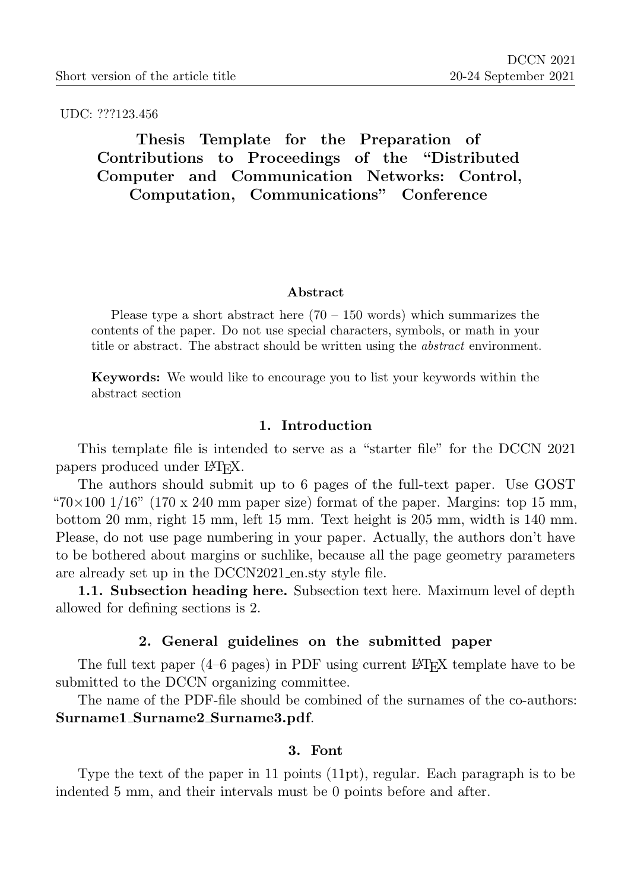UDC: ???123.456

# Thesis Template for the Preparation of Contributions to Proceedings of the "Distributed Computer and Communication Networks: Control, Computation, Communications" Conference

#### Abstract

Please type a short abstract here  $(70 - 150 \text{ words})$  which summarizes the contents of the paper. Do not use special characters, symbols, or math in your title or abstract. The abstract should be written using the abstract environment.

Keywords: We would like to encourage you to list your keywords within the abstract section

#### 1. Introduction

This template file is intended to serve as a "starter file" for the DCCN 2021 papers produced under LATEX.

The authors should submit up to 6 pages of the full-text paper. Use GOST " $70\times100$  1/16" (170 x 240 mm paper size) format of the paper. Margins: top 15 mm, bottom 20 mm, right 15 mm, left 15 mm. Text height is 205 mm, width is 140 mm. Please, do not use page numbering in your paper. Actually, the authors don't have to be bothered about margins or suchlike, because all the page geometry parameters are already set up in the DCCN2021 en.sty style file.

1.1. Subsection heading here. Subsection text here. Maximum level of depth allowed for defining sections is 2.

#### 2. General guidelines on the submitted paper

The full text paper  $(4-6$  pages) in PDF using current LAT<sub>EX</sub> template have to be submitted to the DCCN organizing committee.

The name of the PDF-file should be combined of the surnames of the co-authors: Surname1 Surname2 Surname3.pdf.

### 3. Font

Type the text of the paper in 11 points (11pt), regular. Each paragraph is to be indented 5 mm, and their intervals must be 0 points before and after.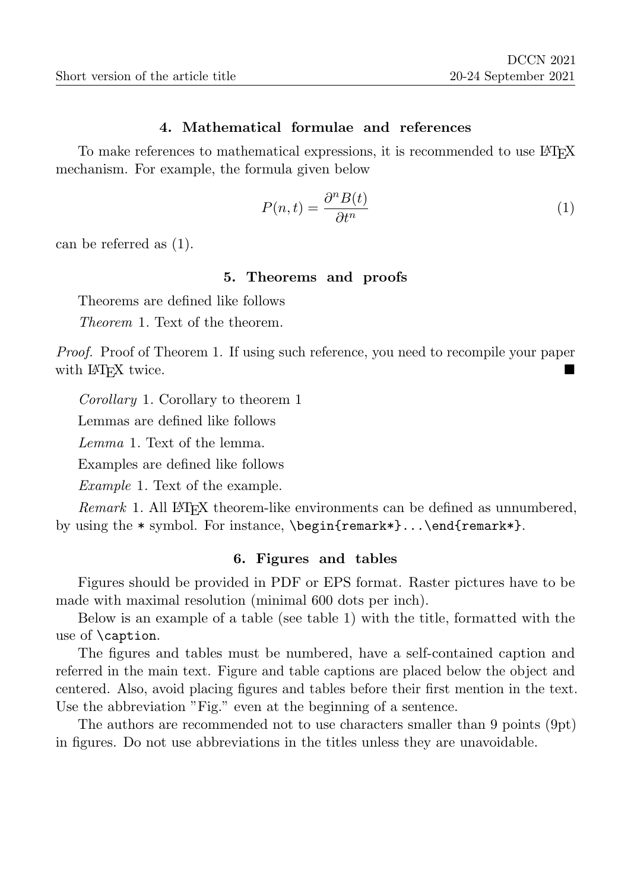#### 4. Mathematical formulae and references

To make references to mathematical expressions, it is recommended to use LAT<sub>EX</sub> mechanism. For example, the formula given below

$$
P(n,t) = \frac{\partial^n B(t)}{\partial t^n} \tag{1}
$$

can be referred as (1).

#### 5. Theorems and proofs

Theorems are defined like follows

Theorem 1. Text of the theorem.

Proof. Proof of Theorem 1. If using such reference, you need to recompile your paper with L<sup>AT</sup><sub>EX</sub> twice.

Corollary 1. Corollary to theorem 1

Lemmas are defined like follows

Lemma 1. Text of the lemma.

Examples are defined like follows

Example 1. Text of the example.

Remark 1. All LAT<sub>EX</sub> theorem-like environments can be defined as unnumbered, by using the \* symbol. For instance, \begin{remark\*}...\end{remark\*}.

#### 6. Figures and tables

Figures should be provided in PDF or EPS format. Raster pictures have to be made with maximal resolution (minimal 600 dots per inch).

Below is an example of a table (see table 1) with the title, formatted with the use of \caption.

The figures and tables must be numbered, have a self-contained caption and referred in the main text. Figure and table captions are placed below the object and centered. Also, avoid placing figures and tables before their first mention in the text. Use the abbreviation "Fig." even at the beginning of a sentence.

The authors are recommended not to use characters smaller than 9 points (9pt) in figures. Do not use abbreviations in the titles unless they are unavoidable.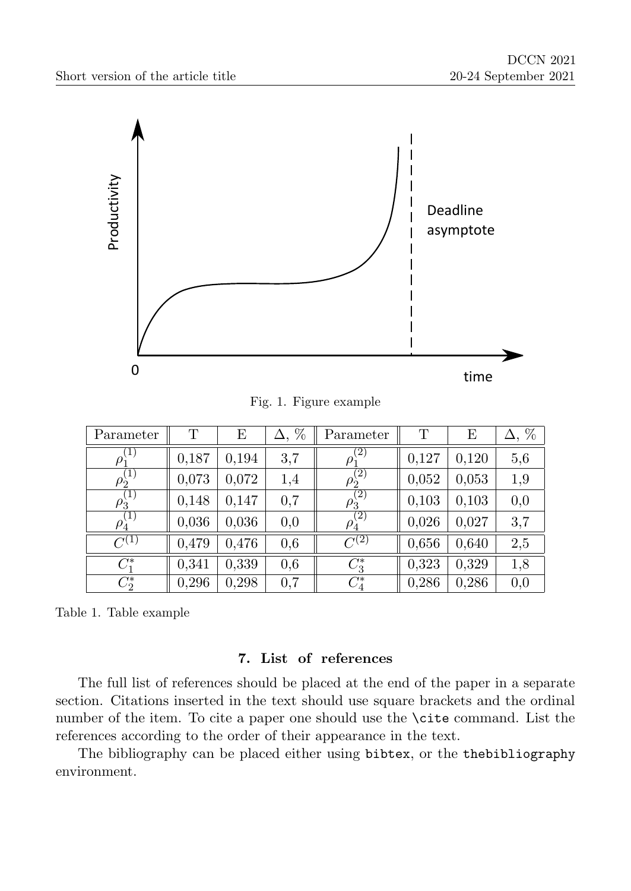

Fig. 1. Figure example

| Parameter                        | Т     | Ε     | %<br>Δ. | Parameter                             | Т     | Е     | %   |
|----------------------------------|-------|-------|---------|---------------------------------------|-------|-------|-----|
| $\rho_1^{(1)}$                   | 0,187 | 0,194 | 3,7     | $\left( 2\right)$<br>$\rho_{\hat{1}}$ | 0,127 | 0,120 | 5,6 |
| $\rho_2^{(1)}$                   | 0,073 | 0,072 | 1,4     | $\rho_2^{(2)}$                        | 0,052 | 0,053 | 1,9 |
| (1)<br>$\rho_{\grave{\text{3}}}$ | 0,148 | 0,147 | 0,7     | (2)<br>$\rho_{\hat{3}}$               | 0,103 | 0,103 | 0,0 |
| (1)<br>$\rho_{4}$                | 0,036 | 0,036 | 0,0     | $\left( 2\right)$<br>$\rho_{4}^{}$    | 0,026 | 0,027 | 3,7 |
| $\overline{C^{(1)}}$             | 0,479 | 0,476 | 0,6     | $\overline{C^{(2)}}$                  | 0,656 | 0,640 | 2,5 |
| $C_1^*$                          | 0,341 | 0,339 | 0.6     | $C_3^*$                               | 0,323 | 0,329 | 1,8 |
| $C_2^*$                          | 0,296 | 0,298 | 0,7     | $C_4^*$                               | 0,286 | 0,286 | 0,0 |

Table 1. Table example

### 7. List of references

The full list of references should be placed at the end of the paper in a separate section. Citations inserted in the text should use square brackets and the ordinal number of the item. To cite a paper one should use the \cite command. List the references according to the order of their appearance in the text.

The bibliography can be placed either using bibtex, or the thebibliography environment.